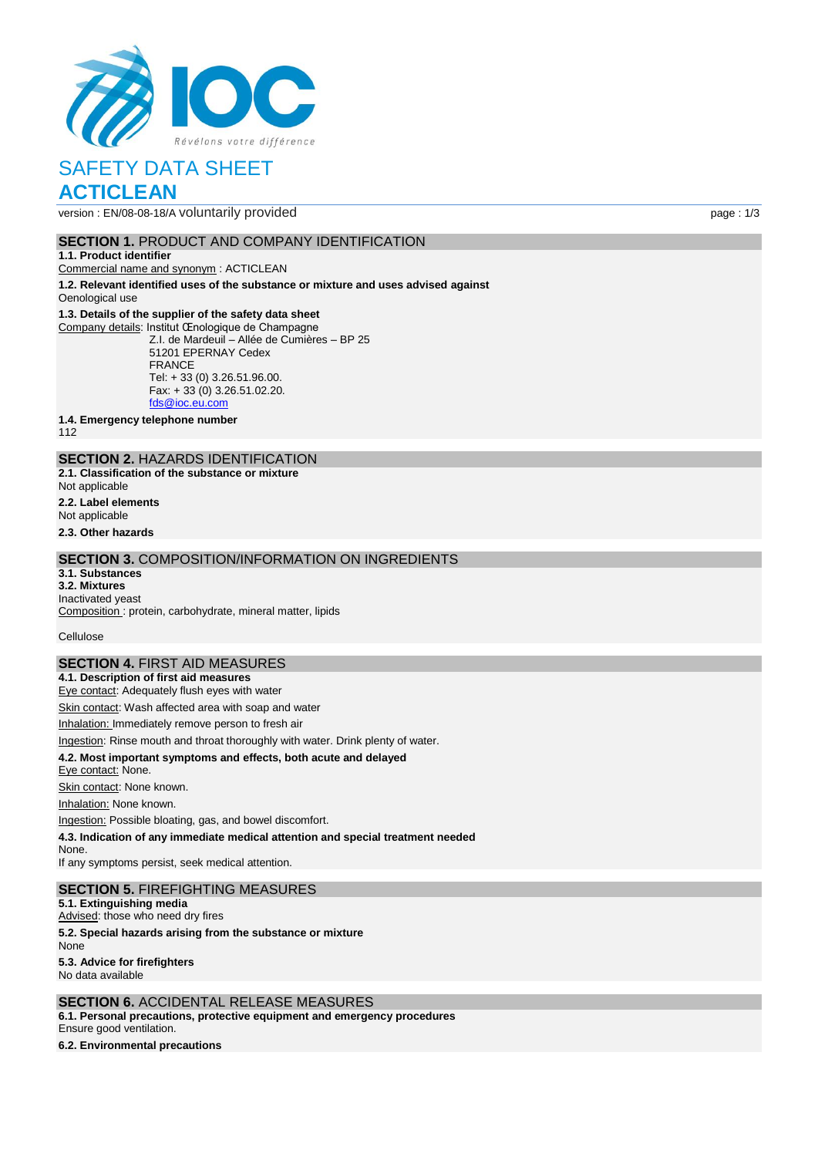

version : EN/08-08-18/A voluntarily provided page : 1/3

#### **SECTION 1. PRODUCT AND COMPANY IDENTIFICATION**

#### **1.1. Product identifier**

Commercial name and synonym : ACTICLEAN

**1.2. Relevant identified uses of the substance or mixture and uses advised against** Oenological use

### **1.3. Details of the supplier of the safety data sheet**

Company details: Institut Œnologique de Champagne Z.I. de Mardeuil – Allée de Cumières – BP 25 51201 EPERNAY Cedex FRANCE Tel: + 33 (0) 3.26.51.96.00. Fax: + 33 (0) 3.26.51.02.20. [fds@ioc.eu.com](mailto:fds@ioc.eu.com)

**1.4. Emergency telephone number**

112

## **SECTION 2.** HAZARDS IDENTIFICATION

**2.1. Classification of the substance or mixture** Not applicable

- **2.2. Label elements**
- Not applicable

**2.3. Other hazards**

#### **SECTION 3.** COMPOSITION/INFORMATION ON INGREDIENTS

#### **3.1. Substances**

**3.2. Mixtures** Inactivated yeast

Composition : protein, carbohydrate, mineral matter, lipids

Cellulose

### **SECTION 4.** FIRST AID MEASURES

**4.1. Description of first aid measures** Eye contact: Adequately flush eyes with water

Skin contact: Wash affected area with soap and water

Inhalation: Immediately remove person to fresh air

Ingestion: Rinse mouth and throat thoroughly with water. Drink plenty of water.

#### **4.2. Most important symptoms and effects, both acute and delayed**

Eye contact: None.

Skin contact: None known.

Inhalation: None known.

Ingestion: Possible bloating, gas, and bowel discomfort.

**4.3. Indication of any immediate medical attention and special treatment needed**

None. If any symptoms persist, seek medical attention.

#### **SECTION 5.** FIREFIGHTING MEASURES

**5.1. Extinguishing media**

Advised: those who need dry fires

**5.2. Special hazards arising from the substance or mixture**

None

**5.3. Advice for firefighters** No data available

### **SECTION 6.** ACCIDENTAL RELEASE MEASURES

**6.1. Personal precautions, protective equipment and emergency procedures** Ensure good ventilation.

**6.2. Environmental precautions**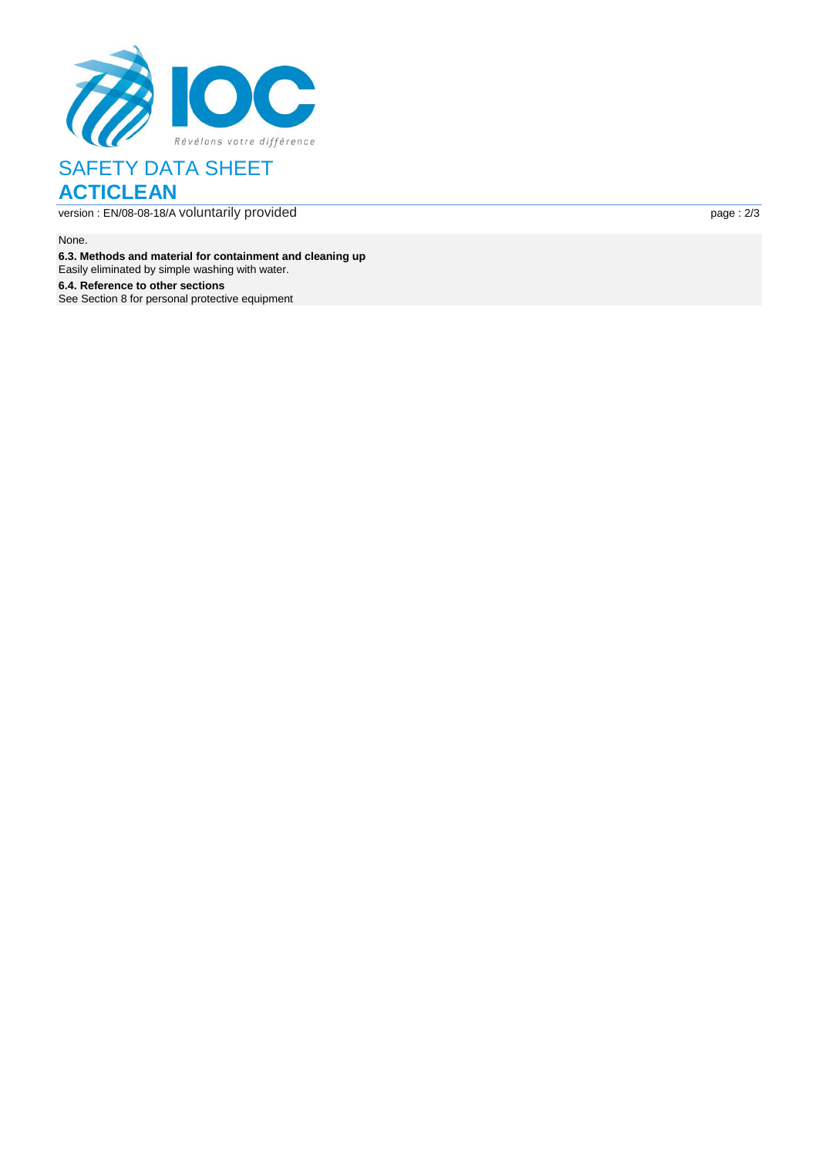

version : EN /08 -08 -18 / A voluntarily provided page :

page: 2/3

None.

**6.3. Methods and material for containment and cleaning up**

Easily eliminated by simple washing with water .

**6.4. Reference to other sections** See Section 8 for personal protective equipment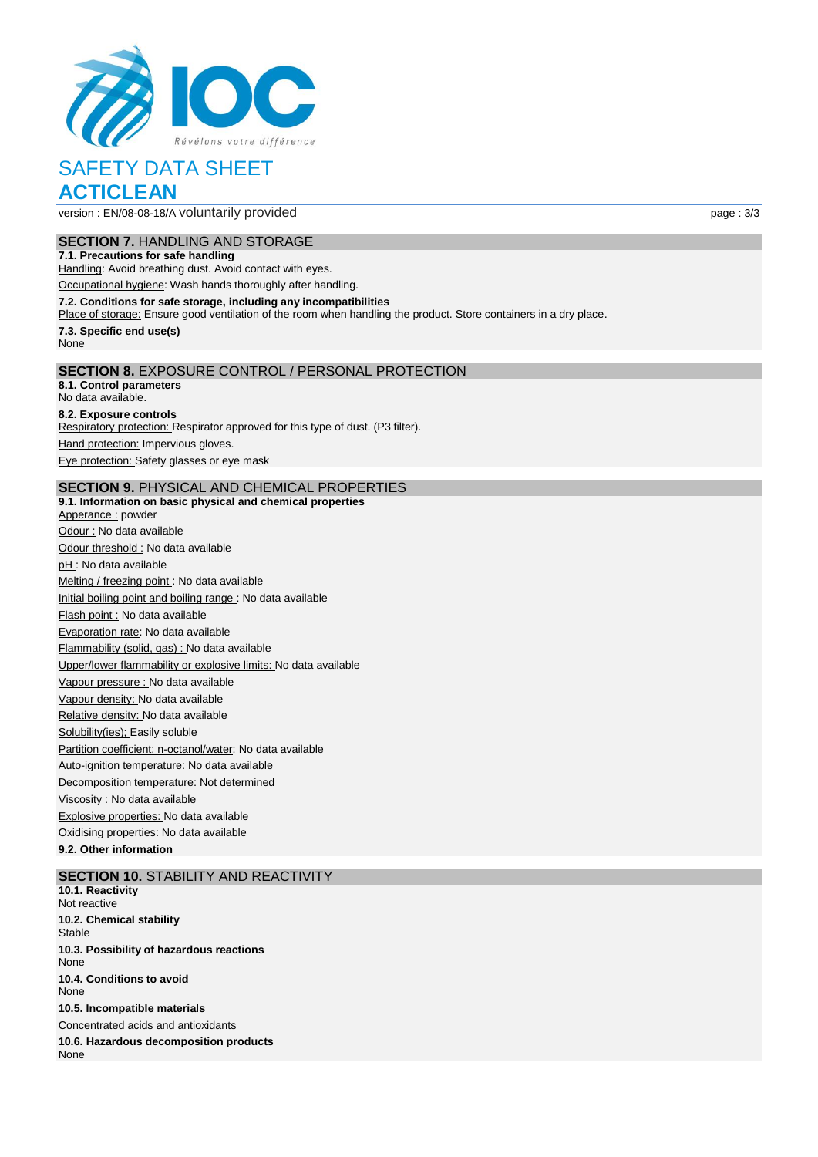

version : EN/08-08-18/A voluntarily provided page : 3/3

**SECTION 7.** HANDLING AND STORAGE

# **7.1. Precautions for safe handling**

Handling: Avoid breathing dust. Avoid contact with eyes.

Occupational hygiene: Wash hands thoroughly after handling.

#### **7.2. Conditions for safe storage, including any incompatibilities**

Place of storage: Ensure good ventilation of the room when handling the product. Store containers in a dry place.

**7.3. Specific end use(s)**

#### None

### **SECTION 8.** EXPOSURE CONTROL / PERSONAL PROTECTION

**8.1. Control parameters** No data available.

#### **8.2. Exposure controls**

Respiratory protection: Respirator approved for this type of dust. (P3 filter).

Hand protection: Impervious gloves.

Eye protection: Safety glasses or eye mask

#### **SECTION 9.** PHYSICAL AND CHEMICAL PROPERTIES

**9.1. Information on basic physical and chemical properties** Apperance : powder Odour : No data available Odour threshold : No data available pH : No data available Melting / freezing point : No data available Initial boiling point and boiling range : No data available Flash point : No data available Evaporation rate: No data available Flammability (solid, gas) : No data available Upper/lower flammability or explosive limits: No data available Vapour pressure : No data available Vapour density: No data available Relative density: No data available Solubility(ies); Easily soluble Partition coefficient: n-octanol/water: No data available Auto-ignition temperature: No data available Decomposition temperature: Not determined Viscosity : No data available Explosive properties: No data available Oxidising properties: No data available

**9.2. Other information**

#### **SECTION 10.** STABILITY AND REACTIVITY

**10.1. Reactivity** Not reactive **10.2. Chemical stability Stable 10.3. Possibility of hazardous reactions** None **10.4. Conditions to avoid** None **10.5. Incompatible materials** Concentrated acids and antioxidants **10.6. Hazardous decomposition products None**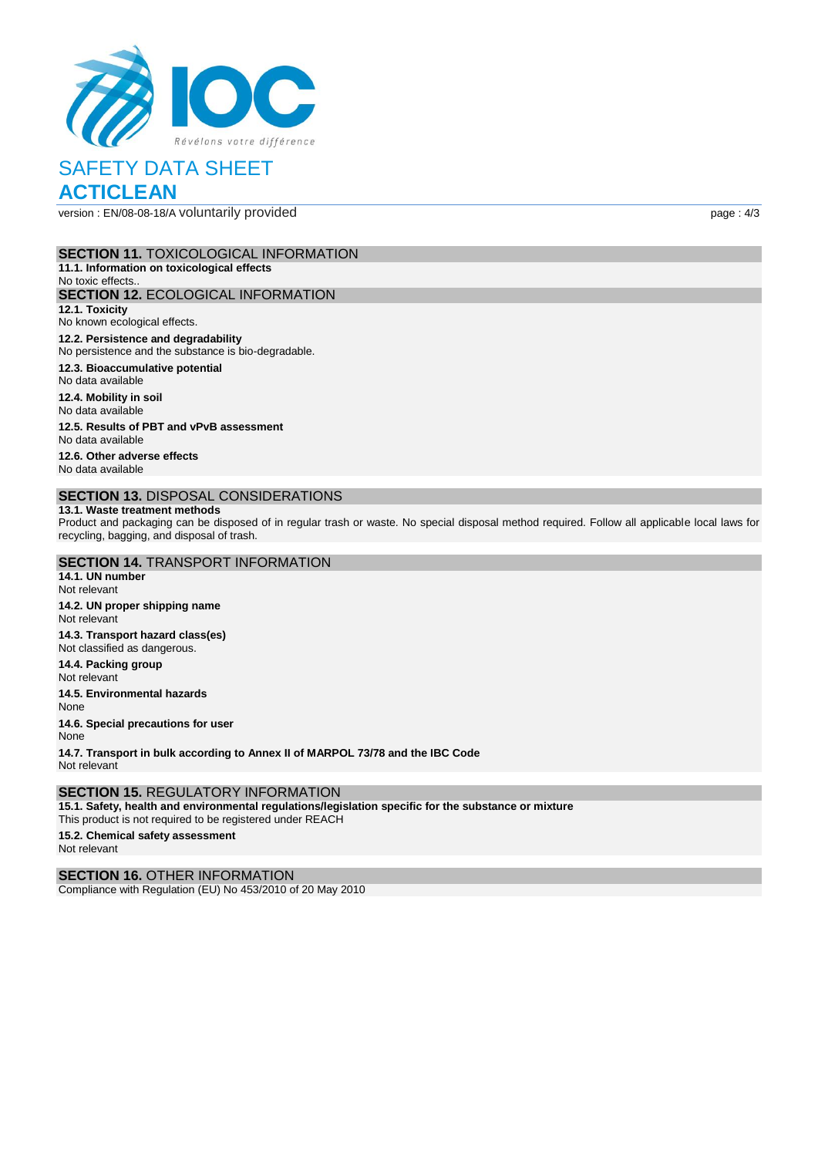

version : EN/08-08-18/A voluntarily provided page : 4/3

#### **SECTION 11.** TOXICOLOGICAL INFORMATION

**11.1. Information on toxicological effects** No toxic effects.. **SECTION 12.** ECOLOGICAL INFORMATION **12.1. Toxicity** No known ecological effects. **12.2. Persistence and degradability**

No persistence and the substance is bio-degradable.

**12.3. Bioaccumulative potential**

No data available

**12.4. Mobility in soil** No data available

**12.5. Results of PBT and vPvB assessment** No data available

**12.6. Other adverse effects** No data available

### **SECTION 13.** DISPOSAL CONSIDERATIONS

#### **13.1. Waste treatment methods**

Product and packaging can be disposed of in regular trash or waste. No special disposal method required. Follow all applicable local laws for recycling, bagging, and disposal of trash.

# **SECTION 14.** TRANSPORT INFORMATION

**14.1. UN number** Not relevant **14.2. UN proper shipping name** Not relevant **14.3. Transport hazard class(es)** Not classified as dangerous. **14.4. Packing group** Not relevant **14.5. Environmental hazards** None **14.6. Special precautions for user** None

**14.7. Transport in bulk according to Annex II of MARPOL 73/78 and the IBC Code** Not relevant

#### **SECTION 15.** REGULATORY INFORMATION

**15.1. Safety, health and environmental regulations/legislation specific for the substance or mixture** This product is not required to be registered under REACH

**15.2. Chemical safety assessment** Not relevant

**SECTION 16.** OTHER INFORMATION

Compliance with Regulation (EU) No 453/2010 of 20 May 2010